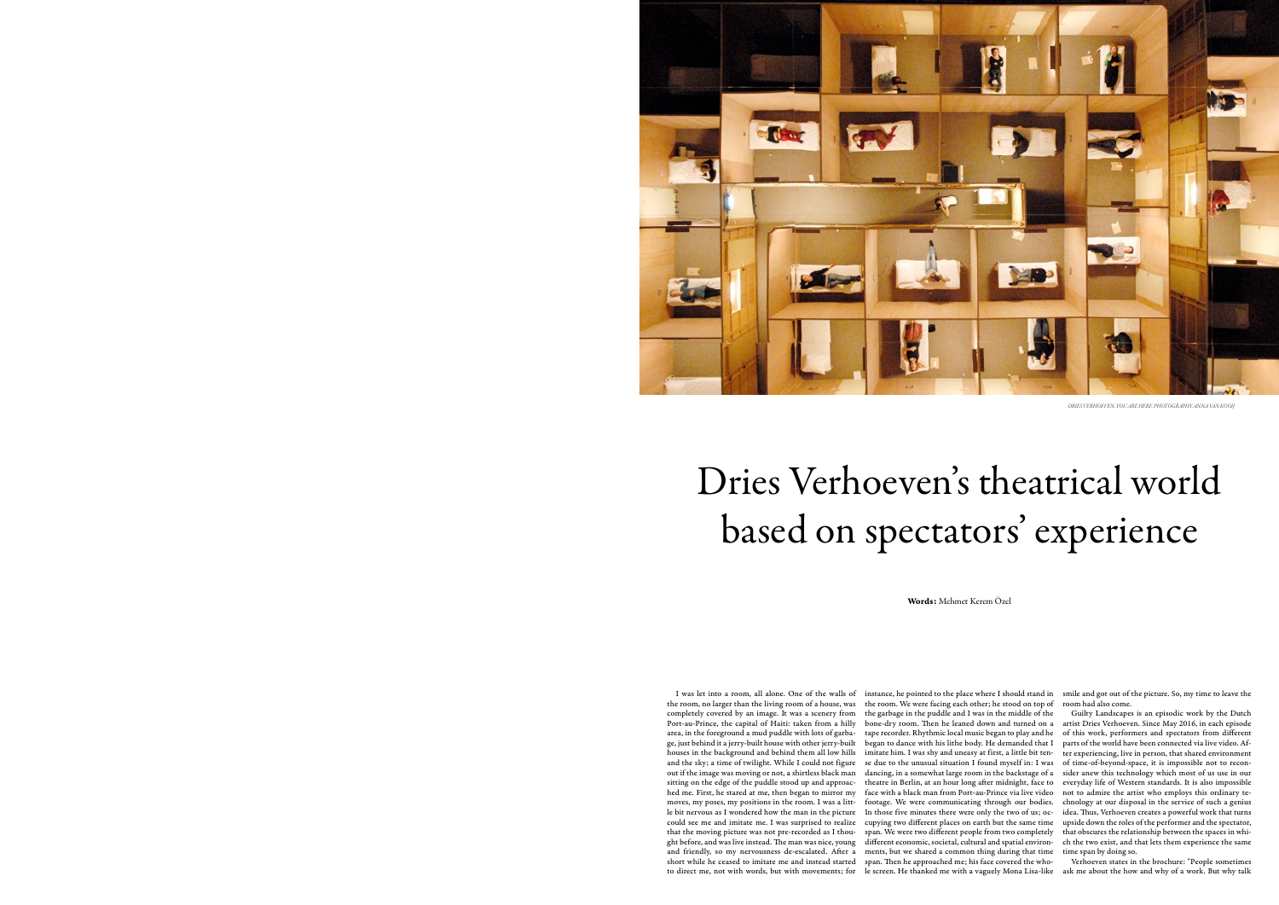## Dries Verhoeven's theatrical world based on spectators' experience

Words: Mehmet Kerem Özel

I was let into a room, all alone. One of the walls of the room, no larger than the living room of a house, was completely covered by an image. It was a scenery from Port-au-Prince, the capital of Haiti: taken from a hilly area, in the foreground a mud puddle with lots of garbage, just behind it a jerry-built house with other jerry-built houses in the background and behind them all low hills and the sky; a time of twilight. While I could not figure out if the image was moving or not, a shirtless black man sitting on the edge of the puddle stood up and approached me. First, he stared at me, then began to mirror my moves, my poses, my positions in the room. I was a little bit nervous as I wondered how the man in the picture could see me and imitate me. I was surprised to realize that the moving picture was not pre-recorded as I thought before, and was live instead. The man was nice, young and friendly, so my nervousness de-escalated. After a short while he ceased to imitate me and instead started to direct me, not with words, but with movements; for

instance, he pointed to the place where I should stand in the room. We were facing each other; he stood on top of the garbage in the puddle and I was in the middle of the bone-dry room. Then he leaned down and turned on a tape recorder. Rhythmic local music began to play and he began to dance with his lithe body. He demanded that I imitate him. I was shy and uneasy at first, a little bit tense due to the unusual situation I found myself in: I was dancing, in a somewhat large room in the backstage of a theatre in Berlin, at an hour long after midnight, face to face with a black man from Port-au-Prince via live video footage. We were communicating through our bodies. In those five minutes there were only the two of us; occupying two different places on earth but the same time span. We were two different people from two completely different economic, societal, cultural and spatial environments, but we shared a common thing during that time span. Then he approached me; his face covered the whole screen. He thanked me with a vaguely Mona Lisa-like

smile and got out of the picture. So, my time to leave the room had also come.

Guilty Landscapes is an episodic work by the Dutch artist Dries Verhoeven. Since May 2016, in each episode of this work, performers and spectators from different parts of the world have been connected via live video. After experiencing, live in person, that shared environment of time-of-beyond-space, it is impossible not to reconsider anew this technology which most of us use in our everyday life of Western standards. It is also impossible not to admire the artist who employs this ordinary technology at our disposal in the service of such a genius idea. Thus, Verhoeven creates a powerful work that turns upside down the roles of the performer and the spectator, that obscures the relationship between the spaces in which the two exist, and that lets them experience the same time span by doing so.

Verhoeven states in the brochure: "People sometimes ask me about the how and why of a work. But why talk



*DRIES VERHOEVEN, YOU ARE HERE, PHOTOGRAPHY:ANNA VAN KOOIJ*